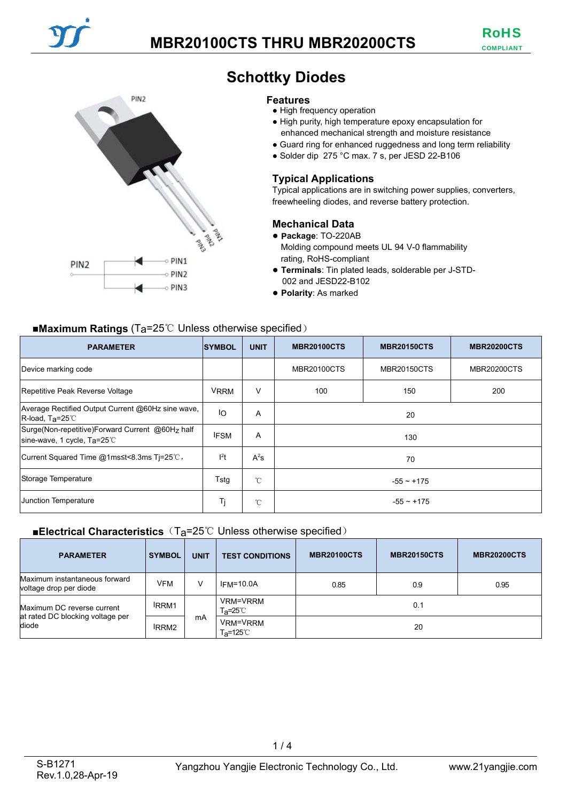

# **Schottky Diodes**

#### **Features**

- High frequency operation
- High purity, high temperature epoxy encapsulation for enhanced mechanical strength and moisture resistance
- Guard ring for enhanced ruggedness and long term reliability
- Solder dip 275 °C max. 7 s, per JESD 22-B106

## **Typical Applications**

Typical applications are in switching power supplies, converters, freewheeling diodes, and reverse battery protection.

### **Mechanical Data**

● **Package**: TO-220AB Molding compound meets UL 94 V-0 flammability rating, RoHS-compliant

- **Terminals**: Tin plated leads, solderable per J-STD-002 and JESD22-B102
- **Polarity**: As marked

## ■**Maximum Ratings** (T<sub>a</sub>=25℃ Unless otherwise specified)

| ີ<br><b>PARAMETER</b>                                                                   | <b>SYMBOL</b> | <b>UNIT</b>  | <b>MBR20100CTS</b> | <b>MBR20150CTS</b> | <b>MBR20200CTS</b> |
|-----------------------------------------------------------------------------------------|---------------|--------------|--------------------|--------------------|--------------------|
| Device marking code                                                                     |               |              | <b>MBR20100CTS</b> | <b>MBR20150CTS</b> | <b>MBR20200CTS</b> |
| Repetitive Peak Reverse Voltage                                                         | <b>VRRM</b>   | V            | 100                | 150                | 200                |
| Average Rectified Output Current @60Hz sine wave,<br>$R$ -load, Ta=25 $C$               | IO            | A            | 20                 |                    |                    |
| Surge(Non-repetitive)Forward Current @60Hz half<br>sine-wave, 1 cycle, $Ta=25^{\circ}C$ | <b>IFSM</b>   | A            | 130                |                    |                    |
| Current Squared Time @1ms≤t<8.3ms Ti=25°C,                                              | $l^2t$        | $A^2s$       | 70                 |                    |                    |
| Storage Temperature                                                                     | Tstg          | $^{\circ}$ C | $-55 - +175$       |                    |                    |
| Junction Temperature                                                                    | Tj            | $^{\circ}$ C | $-55 - +175$       |                    |                    |

### ■**Electrical Characteristics** (T<sub>a</sub>=25℃ Unless otherwise specified)

| <b>PARAMETER</b>                                          | <b>SYMBOL</b> | <b>UNIT</b> | <b>TEST CONDITIONS</b>                     | <b>MBR20100CTS</b> | <b>MBR20150CTS</b> | <b>MBR20200CTS</b> |
|-----------------------------------------------------------|---------------|-------------|--------------------------------------------|--------------------|--------------------|--------------------|
| Maximum instantaneous forward<br>voltage drop per diode   | <b>VFM</b>    | v           | $IFM=10.0A$                                | 0.85               | 0.9                | 0.95               |
| Maximum DC reverse current                                | <b>IRRM1</b>  |             | VRM=VRRM<br>T <sub>a</sub> =25℃            | 0.1                |                    |                    |
| at rated DC blocking voltage per<br>diode<br><b>IRRM2</b> |               | mA          | VRM=VRRM<br>$T_{\mathsf{a}} = 125^{\circ}$ | 20                 |                    |                    |

 $1/4$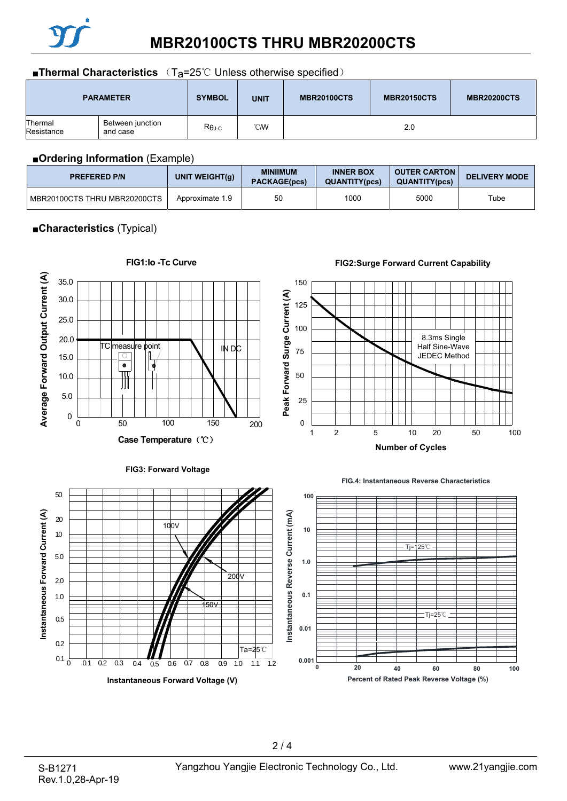

#### ■**Thermal Characteristics** (T<sub>a</sub>=25℃ Unless otherwise specified)

|                       | <b>PARAMETER</b>             | <b>SYMBOL</b> | <b>UNIT</b> | <b>MBR20100CTS</b> | <b>MBR20150CTS</b> | <b>MBR20200CTS</b> |
|-----------------------|------------------------------|---------------|-------------|--------------------|--------------------|--------------------|
| Thermal<br>Resistance | Between junction<br>and case | $R\theta$ J-C | <b>CM</b>   |                    | 2.0                |                    |

#### ■**Ordering Information** (Example)

| <b>PREFERED P/N</b>            | UNIT WEIGHT $(g)$ | <b>MINIIMUM</b><br><b>PACKAGE(pcs)</b> | <b>INNER BOX</b><br><b>QUANTITY(pcs)</b> | <b>OUTER CARTON</b><br><b>QUANTITY(pcs)</b> | <b>DELIVERY MODE</b> |
|--------------------------------|-------------------|----------------------------------------|------------------------------------------|---------------------------------------------|----------------------|
| I MBR20100CTS THRU MBR20200CTS | Approximate 1.9   | 50                                     | 1000                                     | 5000                                        | Tube                 |

## ■**Characteristics** (Typical)

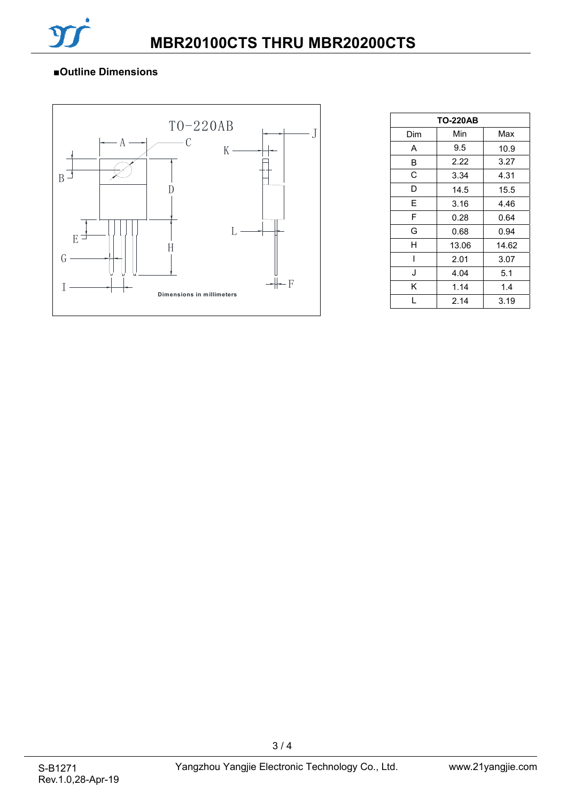

## ■**Outline Dimensions**



| <b>TO-220AB</b> |       |       |  |  |  |
|-----------------|-------|-------|--|--|--|
| Dim             | Min   | Max   |  |  |  |
| A               | 9.5   | 10.9  |  |  |  |
| в               | 2.22  | 3.27  |  |  |  |
| C               | 3.34  | 4.31  |  |  |  |
| D               | 14.5  | 15.5  |  |  |  |
| F               | 3.16  | 4.46  |  |  |  |
| F               | 0.28  | 0.64  |  |  |  |
| G               | 0.68  | 0.94  |  |  |  |
| н               | 13.06 | 14.62 |  |  |  |
| ı               | 2.01  | 3.07  |  |  |  |
| J               | 4.04  | 5.1   |  |  |  |
| Κ               | 1.14  | 1.4   |  |  |  |
|                 | 2.14  | 3.19  |  |  |  |

3 / 4